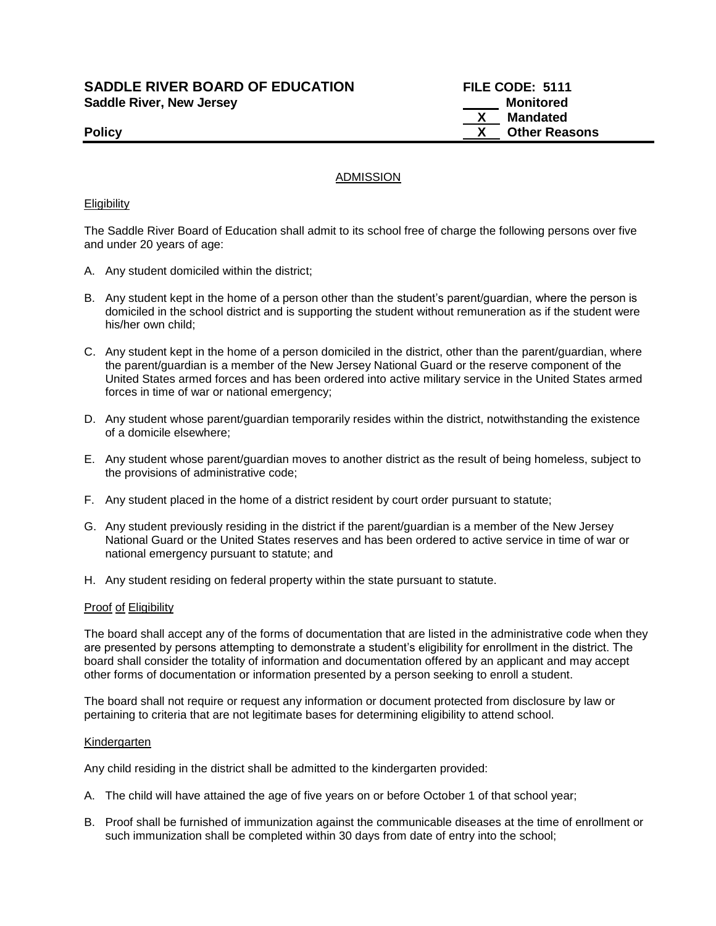**SADDLE RIVER BOARD OF EDUCATION FILE CODE: 5111**  Saddle River, New Jersey **Monitored Saddle River, New Jersey** 

 **X Mandated Policy CONSERVING CONSERVERS AND REAL PROPERTY CONSERVERS AND REAL PROPERTY. THE POINT OF A SET OF A SET OF A SET OF A SET OF A SET OF A SET OF A SET OF A SET OF A SET OF A SET OF A SET OF A SET OF A SET OF A SET OF A S** 

# ADMISSION

#### **Eligibility**

The Saddle River Board of Education shall admit to its school free of charge the following persons over five and under 20 years of age:

- A. Any student domiciled within the district;
- B. Any student kept in the home of a person other than the student's parent/guardian, where the person is domiciled in the school district and is supporting the student without remuneration as if the student were his/her own child;
- C. Any student kept in the home of a person domiciled in the district, other than the parent/guardian, where the parent/guardian is a member of the New Jersey National Guard or the reserve component of the United States armed forces and has been ordered into active military service in the United States armed forces in time of war or national emergency;
- D. Any student whose parent/guardian temporarily resides within the district, notwithstanding the existence of a domicile elsewhere;
- E. Any student whose parent/guardian moves to another district as the result of being homeless, subject to the provisions of administrative code;
- F. Any student placed in the home of a district resident by court order pursuant to statute;
- G. Any student previously residing in the district if the parent/guardian is a member of the New Jersey National Guard or the United States reserves and has been ordered to active service in time of war or national emergency pursuant to statute; and
- H. Any student residing on federal property within the state pursuant to statute.

#### Proof of Eligibility

The board shall accept any of the forms of documentation that are listed in the administrative code when they are presented by persons attempting to demonstrate a student's eligibility for enrollment in the district. The board shall consider the totality of information and documentation offered by an applicant and may accept other forms of documentation or information presented by a person seeking to enroll a student.

The board shall not require or request any information or document protected from disclosure by law or pertaining to criteria that are not legitimate bases for determining eligibility to attend school.

#### Kindergarten

Any child residing in the district shall be admitted to the kindergarten provided:

- A. The child will have attained the age of five years on or before October 1 of that school year;
- B. Proof shall be furnished of immunization against the communicable diseases at the time of enrollment or such immunization shall be completed within 30 days from date of entry into the school;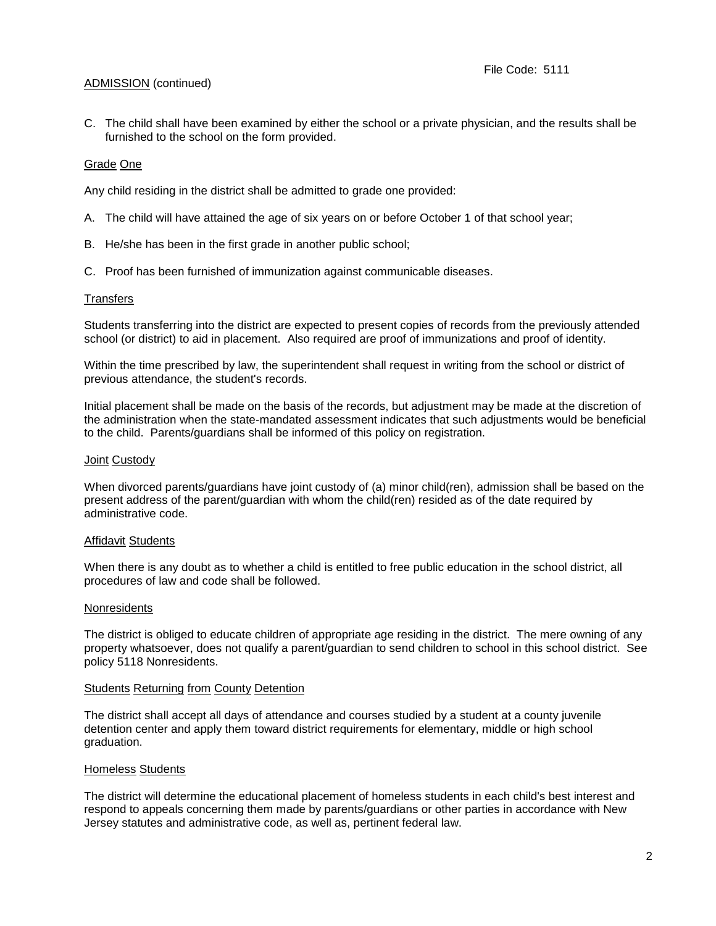# ADMISSION (continued)

C. The child shall have been examined by either the school or a private physician, and the results shall be furnished to the school on the form provided.

## Grade One

Any child residing in the district shall be admitted to grade one provided:

- A. The child will have attained the age of six years on or before October 1 of that school year;
- B. He/she has been in the first grade in another public school;
- C. Proof has been furnished of immunization against communicable diseases.

## **Transfers**

Students transferring into the district are expected to present copies of records from the previously attended school (or district) to aid in placement. Also required are proof of immunizations and proof of identity.

Within the time prescribed by law, the superintendent shall request in writing from the school or district of previous attendance, the student's records.

Initial placement shall be made on the basis of the records, but adjustment may be made at the discretion of the administration when the state-mandated assessment indicates that such adjustments would be beneficial to the child. Parents/guardians shall be informed of this policy on registration.

#### Joint Custody

When divorced parents/guardians have joint custody of (a) minor child(ren), admission shall be based on the present address of the parent/guardian with whom the child(ren) resided as of the date required by administrative code.

#### **Affidavit Students**

When there is any doubt as to whether a child is entitled to free public education in the school district, all procedures of law and code shall be followed.

#### **Nonresidents**

The district is obliged to educate children of appropriate age residing in the district. The mere owning of any property whatsoever, does not qualify a parent/guardian to send children to school in this school district. See policy 5118 Nonresidents.

## Students Returning from County Detention

The district shall accept all days of attendance and courses studied by a student at a county juvenile detention center and apply them toward district requirements for elementary, middle or high school graduation.

#### Homeless Students

The district will determine the educational placement of homeless students in each child's best interest and respond to appeals concerning them made by parents/guardians or other parties in accordance with New Jersey statutes and administrative code, as well as, pertinent federal law.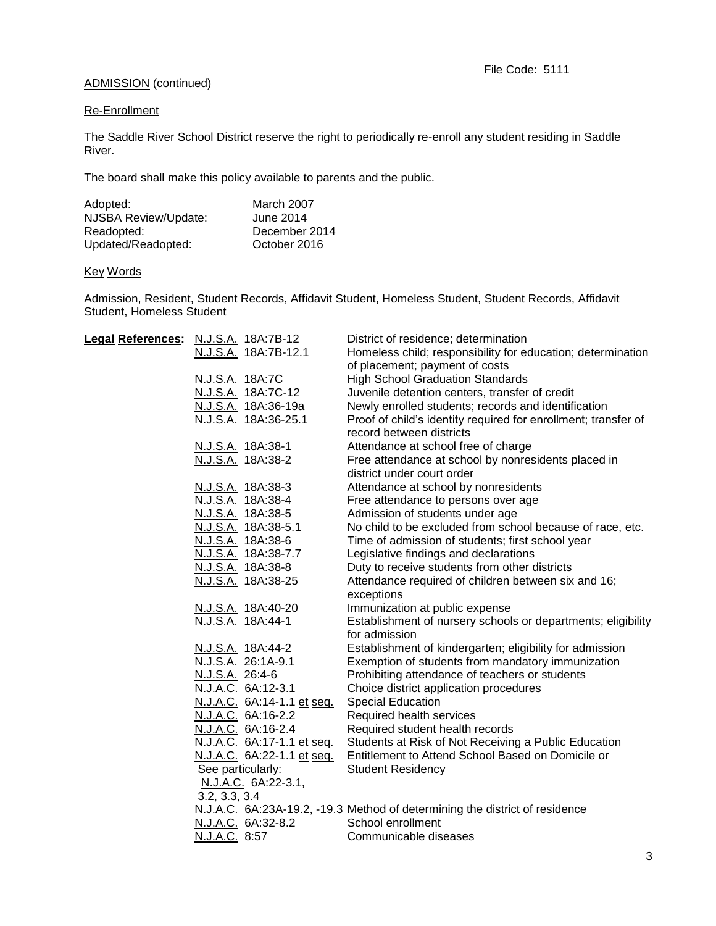# ADMISSION (continued)

# Re-Enrollment

The Saddle River School District reserve the right to periodically re-enroll any student residing in Saddle River.

The board shall make this policy available to parents and the public.

| Adopted:             | March 2007    |
|----------------------|---------------|
| NJSBA Review/Update: | June 2014     |
| Readopted:           | December 2014 |
| Updated/Readopted:   | October 2016  |

# Key Words

Admission, Resident, Student Records, Affidavit Student, Homeless Student, Student Records, Affidavit Student, Homeless Student

| Legal References: N.J.S.A. 18A:7B-12 |                   |                            | District of residence; determination                                        |
|--------------------------------------|-------------------|----------------------------|-----------------------------------------------------------------------------|
|                                      |                   | N.J.S.A. 18A:7B-12.1       | Homeless child; responsibility for education; determination                 |
|                                      |                   |                            | of placement; payment of costs                                              |
|                                      | N.J.S.A. 18A:7C   |                            | <b>High School Graduation Standards</b>                                     |
|                                      |                   | N.J.S.A. 18A:7C-12         | Juvenile detention centers, transfer of credit                              |
|                                      |                   | N.J.S.A. 18A:36-19a        | Newly enrolled students; records and identification                         |
|                                      |                   | N.J.S.A. 18A:36-25.1       | Proof of child's identity required for enrollment; transfer of              |
|                                      |                   |                            | record between districts                                                    |
|                                      |                   | N.J.S.A. 18A:38-1          | Attendance at school free of charge                                         |
|                                      |                   | N.J.S.A. 18A:38-2          | Free attendance at school by nonresidents placed in                         |
|                                      |                   |                            | district under court order                                                  |
|                                      |                   | N.J.S.A. 18A:38-3          | Attendance at school by nonresidents                                        |
|                                      |                   | N.J.S.A. 18A:38-4          | Free attendance to persons over age                                         |
|                                      |                   | N.J.S.A. 18A:38-5          | Admission of students under age                                             |
|                                      |                   | N.J.S.A. 18A:38-5.1        | No child to be excluded from school because of race, etc.                   |
|                                      |                   | N.J.S.A. 18A:38-6          | Time of admission of students; first school year                            |
|                                      |                   | N.J.S.A. 18A:38-7.7        | Legislative findings and declarations                                       |
|                                      |                   | N.J.S.A. 18A:38-8          | Duty to receive students from other districts                               |
|                                      |                   | N.J.S.A. 18A:38-25         | Attendance required of children between six and 16;                         |
|                                      |                   |                            | exceptions                                                                  |
|                                      |                   | N.J.S.A. 18A:40-20         | Immunization at public expense                                              |
|                                      |                   | N.J.S.A. 18A:44-1          | Establishment of nursery schools or departments; eligibility                |
|                                      |                   |                            | for admission                                                               |
|                                      |                   | N.J.S.A. 18A:44-2          | Establishment of kindergarten; eligibility for admission                    |
|                                      |                   | N.J.S.A. 26:1A-9.1         | Exemption of students from mandatory immunization                           |
|                                      | N.J.S.A. 26:4-6   |                            | Prohibiting attendance of teachers or students                              |
|                                      |                   | N.J.A.C. 6A:12-3.1         | Choice district application procedures                                      |
|                                      |                   | N.J.A.C. 6A:14-1.1 et seq. | <b>Special Education</b>                                                    |
|                                      |                   | N.J.A.C. 6A:16-2.2         | Required health services                                                    |
|                                      |                   | N.J.A.C. 6A:16-2.4         | Required student health records                                             |
|                                      |                   | N.J.A.C. 6A:17-1.1 et seq. | Students at Risk of Not Receiving a Public Education                        |
|                                      |                   | N.J.A.C. 6A:22-1.1 et seq. | Entitlement to Attend School Based on Domicile or                           |
|                                      | See particularly: |                            | <b>Student Residency</b>                                                    |
|                                      |                   | N.J.A.C. 6A:22-3.1,        |                                                                             |
|                                      | 3.2, 3.3, 3.4     |                            |                                                                             |
|                                      |                   |                            | N.J.A.C. 6A:23A-19.2, -19.3 Method of determining the district of residence |
|                                      |                   | N.J.A.C. 6A:32-8.2         | School enrollment                                                           |
|                                      | N.J.A.C. 8:57     |                            | Communicable diseases                                                       |